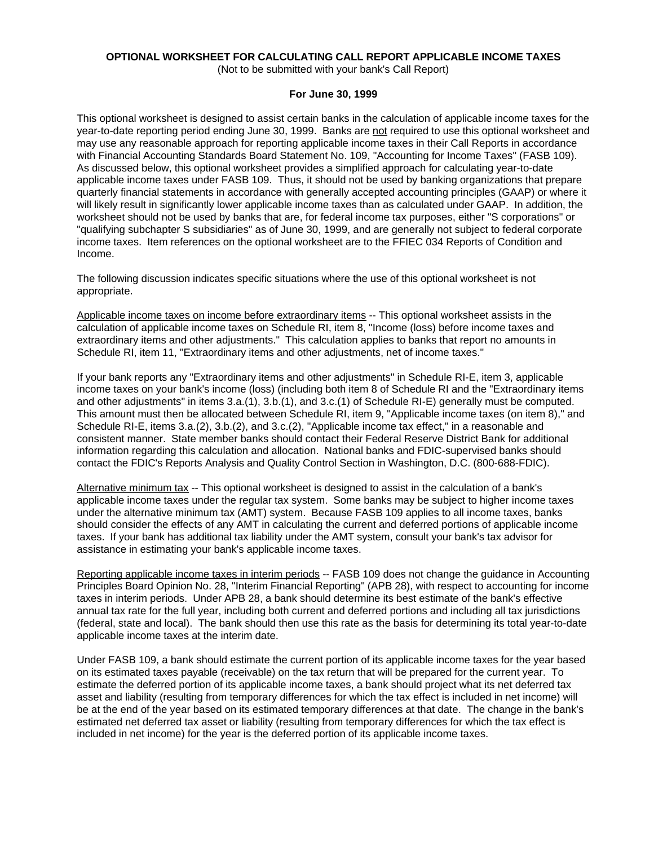# **OPTIONAL WORKSHEET FOR CALCULATING CALL REPORT APPLICABLE INCOME TAXES**

(Not to be submitted with your bank's Call Report)

# **For June 30, 1999**

This optional worksheet is designed to assist certain banks in the calculation of applicable income taxes for the year-to-date reporting period ending June 30, 1999. Banks are not required to use this optional worksheet and may use any reasonable approach for reporting applicable income taxes in their Call Reports in accordance with Financial Accounting Standards Board Statement No. 109, "Accounting for Income Taxes" (FASB 109). As discussed below, this optional worksheet provides a simplified approach for calculating year-to-date applicable income taxes under FASB 109. Thus, it should not be used by banking organizations that prepare quarterly financial statements in accordance with generally accepted accounting principles (GAAP) or where it will likely result in significantly lower applicable income taxes than as calculated under GAAP. In addition, the worksheet should not be used by banks that are, for federal income tax purposes, either "S corporations" or "qualifying subchapter S subsidiaries" as of June 30, 1999, and are generally not subject to federal corporate income taxes. Item references on the optional worksheet are to the FFIEC 034 Reports of Condition and Income.

The following discussion indicates specific situations where the use of this optional worksheet is not appropriate.

Applicable income taxes on income before extraordinary items -- This optional worksheet assists in the calculation of applicable income taxes on Schedule RI, item 8, "Income (loss) before income taxes and extraordinary items and other adjustments." This calculation applies to banks that report no amounts in Schedule RI, item 11, "Extraordinary items and other adjustments, net of income taxes."

If your bank reports any "Extraordinary items and other adjustments" in Schedule RI-E, item 3, applicable income taxes on your bank's income (loss) (including both item 8 of Schedule RI and the "Extraordinary items and other adjustments" in items 3.a.(1), 3.b.(1), and 3.c.(1) of Schedule RI-E) generally must be computed. This amount must then be allocated between Schedule RI, item 9, "Applicable income taxes (on item 8)," and Schedule RI-E, items 3.a.(2), 3.b.(2), and 3.c.(2), "Applicable income tax effect," in a reasonable and consistent manner. State member banks should contact their Federal Reserve District Bank for additional information regarding this calculation and allocation. National banks and FDIC-supervised banks should contact the FDIC's Reports Analysis and Quality Control Section in Washington, D.C. (800-688-FDIC).

Alternative minimum tax -- This optional worksheet is designed to assist in the calculation of a bank's applicable income taxes under the regular tax system. Some banks may be subject to higher income taxes under the alternative minimum tax (AMT) system. Because FASB 109 applies to all income taxes, banks should consider the effects of any AMT in calculating the current and deferred portions of applicable income taxes. If your bank has additional tax liability under the AMT system, consult your bank's tax advisor for assistance in estimating your bank's applicable income taxes.

Reporting applicable income taxes in interim periods -- FASB 109 does not change the guidance in Accounting Principles Board Opinion No. 28, "Interim Financial Reporting" (APB 28), with respect to accounting for income taxes in interim periods. Under APB 28, a bank should determine its best estimate of the bank's effective annual tax rate for the full year, including both current and deferred portions and including all tax jurisdictions (federal, state and local). The bank should then use this rate as the basis for determining its total year-to-date applicable income taxes at the interim date.

Under FASB 109, a bank should estimate the current portion of its applicable income taxes for the year based on its estimated taxes payable (receivable) on the tax return that will be prepared for the current year. To estimate the deferred portion of its applicable income taxes, a bank should project what its net deferred tax asset and liability (resulting from temporary differences for which the tax effect is included in net income) will be at the end of the year based on its estimated temporary differences at that date. The change in the bank's estimated net deferred tax asset or liability (resulting from temporary differences for which the tax effect is included in net income) for the year is the deferred portion of its applicable income taxes.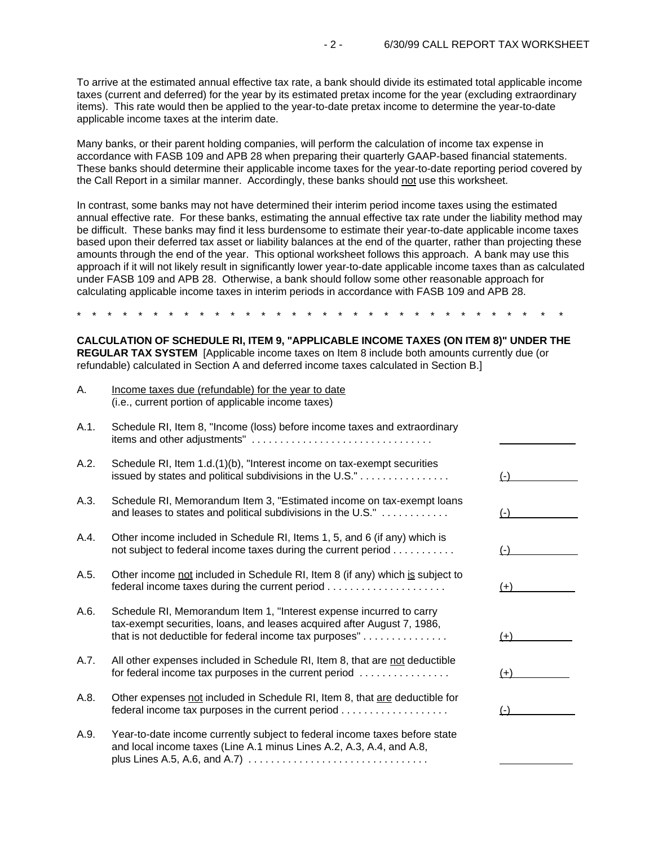To arrive at the estimated annual effective tax rate, a bank should divide its estimated total applicable income taxes (current and deferred) for the year by its estimated pretax income for the year (excluding extraordinary items). This rate would then be applied to the year-to-date pretax income to determine the year-to-date applicable income taxes at the interim date.

Many banks, or their parent holding companies, will perform the calculation of income tax expense in accordance with FASB 109 and APB 28 when preparing their quarterly GAAP-based financial statements. These banks should determine their applicable income taxes for the year-to-date reporting period covered by the Call Report in a similar manner. Accordingly, these banks should not use this worksheet.

In contrast, some banks may not have determined their interim period income taxes using the estimated annual effective rate. For these banks, estimating the annual effective tax rate under the liability method may be difficult. These banks may find it less burdensome to estimate their year-to-date applicable income taxes based upon their deferred tax asset or liability balances at the end of the quarter, rather than projecting these amounts through the end of the year. This optional worksheet follows this approach. A bank may use this approach if it will not likely result in significantly lower year-to-date applicable income taxes than as calculated under FASB 109 and APB 28. Otherwise, a bank should follow some other reasonable approach for calculating applicable income taxes in interim periods in accordance with FASB 109 and APB 28.

\* \* \* \* \* \* \* \* \* \* \* \* \* \* \* \* \* \* \* \* \* \* \* \* \* \* \* \* \* \* \* \*

**CALCULATION OF SCHEDULE RI, ITEM 9, "APPLICABLE INCOME TAXES (ON ITEM 8)" UNDER THE REGULAR TAX SYSTEM** [Applicable income taxes on Item 8 include both amounts currently due (or refundable) calculated in Section A and deferred income taxes calculated in Section B.]

| А.   | Income taxes due (refundable) for the year to date<br>(i.e., current portion of applicable income taxes)                                                                                                  |       |
|------|-----------------------------------------------------------------------------------------------------------------------------------------------------------------------------------------------------------|-------|
| A.1. | Schedule RI, Item 8, "Income (loss) before income taxes and extraordinary                                                                                                                                 |       |
| A.2. | Schedule RI, Item 1.d.(1)(b), "Interest income on tax-exempt securities<br>issued by states and political subdivisions in the U.S."                                                                       | $(-)$ |
| A.3. | Schedule RI, Memorandum Item 3, "Estimated income on tax-exempt loans<br>and leases to states and political subdivisions in the U.S."                                                                     | $(-)$ |
| A.4. | Other income included in Schedule RI, Items 1, 5, and 6 (if any) which is<br>not subject to federal income taxes during the current period                                                                | $(-)$ |
| A.5. | Other income not included in Schedule RI, Item 8 (if any) which is subject to                                                                                                                             | $(+)$ |
| A.6. | Schedule RI, Memorandum Item 1, "Interest expense incurred to carry<br>tax-exempt securities, loans, and leases acquired after August 7, 1986,<br>that is not deductible for federal income tax purposes" | $(+)$ |
| A.7. | All other expenses included in Schedule RI, Item 8, that are not deductible<br>for federal income tax purposes in the current period                                                                      | $(+)$ |
| A.8. | Other expenses not included in Schedule RI, Item 8, that are deductible for                                                                                                                               | $(-)$ |
| A.9. | Year-to-date income currently subject to federal income taxes before state<br>and local income taxes (Line A.1 minus Lines A.2, A.3, A.4, and A.8,                                                        |       |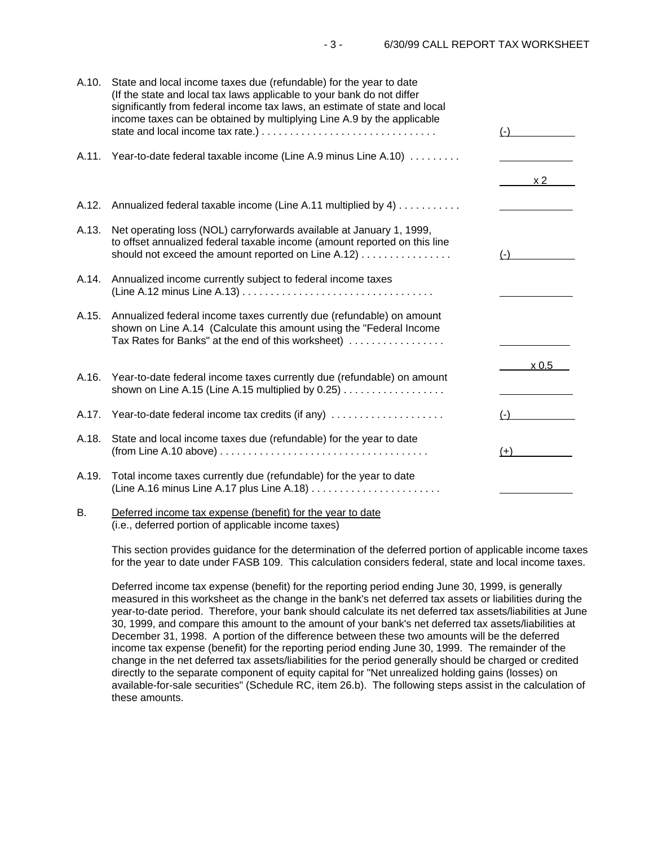l l l  $\ddot{\phantom{a}}$ A.10. State and local income taxes due (refundable) for the year to date (If the state and local tax laws applicable to your bank do not differ significantly from federal income tax laws, an estimate of state and local income taxes can be obtained by multiplying Line A.9 by the applicable state and local income tax rate.) . . . . . . . . . . . . . . . . . . . . . . . . . . . . . . . (-) A.11. Year-to-date federal taxable income (Line A.9 minus Line A.10) . . . . . . . . .  $\times 2$ A.12. Annualized federal taxable income (Line A.11 multiplied by 4) . . . . . . . . . . A.13. Net operating loss (NOL) carryforwards available at January 1, 1999, to offset annualized federal taxable income (amount reported on this line should not exceed the amount reported on Line A.12) . . . . . . . . . . . . . . . . (-) A.14. Annualized income currently subject to federal income taxes (Line A.12 minus Line A.13) . . . . . . . . . . . . . . . . . . . . . . . . . . . . . . . . . . A.15. Annualized federal income taxes currently due (refundable) on amount shown on Line A.14 (Calculate this amount using the "Federal Income Tax Rates for Banks" at the end of this worksheet) ................  $\times 0.5$ A.16. Year-to-date federal income taxes currently due (refundable) on amount shown on Line A.15 (Line A.15 multiplied by  $0.25$ )  $\dots$ .............. A.17. Year-to-date federal income tax credits (if any) . . . . . . . . . . . . . . . . . . . . (-) A.18. State and local income taxes due (refundable) for the year to date (from Line A.10 above) . . . . . . . . . . . . . . . . . . . . . . . . . . . . . . . . . . . . . (+) A.19. Total income taxes currently due (refundable) for the year to date (Line A.16 minus Line A.17 plus Line A.18) . . . . . . . . . . . . . . . . . . . . . . .

## B. Deferred income tax expense (benefit) for the year to date (i.e., deferred portion of applicable income taxes)

This section provides guidance for the determination of the deferred portion of applicable income taxes for the year to date under FASB 109. This calculation considers federal, state and local income taxes.

Deferred income tax expense (benefit) for the reporting period ending June 30, 1999, is generally measured in this worksheet as the change in the bank's net deferred tax assets or liabilities during the year-to-date period. Therefore, your bank should calculate its net deferred tax assets/liabilities at June 30, 1999, and compare this amount to the amount of your bank's net deferred tax assets/liabilities at December 31, 1998. A portion of the difference between these two amounts will be the deferred income tax expense (benefit) for the reporting period ending June 30, 1999. The remainder of the change in the net deferred tax assets/liabilities for the period generally should be charged or credited directly to the separate component of equity capital for "Net unrealized holding gains (losses) on available-for-sale securities" (Schedule RC, item 26.b). The following steps assist in the calculation of these amounts.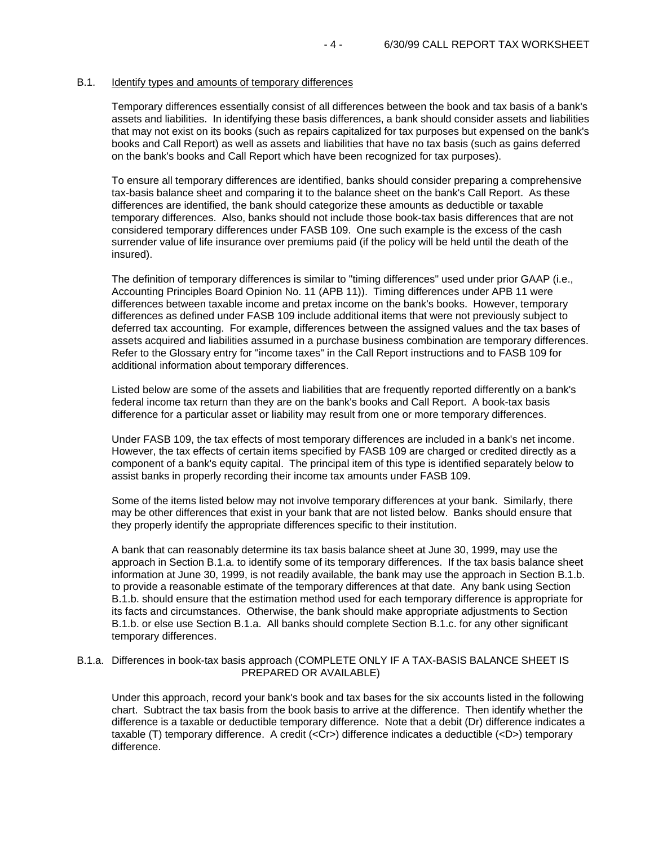### B.1. Identify types and amounts of temporary differences

Temporary differences essentially consist of all differences between the book and tax basis of a bank's assets and liabilities. In identifying these basis differences, a bank should consider assets and liabilities that may not exist on its books (such as repairs capitalized for tax purposes but expensed on the bank's books and Call Report) as well as assets and liabilities that have no tax basis (such as gains deferred on the bank's books and Call Report which have been recognized for tax purposes).

To ensure all temporary differences are identified, banks should consider preparing a comprehensive tax-basis balance sheet and comparing it to the balance sheet on the bank's Call Report. As these differences are identified, the bank should categorize these amounts as deductible or taxable temporary differences. Also, banks should not include those book-tax basis differences that are not considered temporary differences under FASB 109. One such example is the excess of the cash surrender value of life insurance over premiums paid (if the policy will be held until the death of the insured).

The definition of temporary differences is similar to "timing differences" used under prior GAAP (i.e., Accounting Principles Board Opinion No. 11 (APB 11)). Timing differences under APB 11 were differences between taxable income and pretax income on the bank's books. However, temporary differences as defined under FASB 109 include additional items that were not previously subject to deferred tax accounting. For example, differences between the assigned values and the tax bases of assets acquired and liabilities assumed in a purchase business combination are temporary differences. Refer to the Glossary entry for "income taxes" in the Call Report instructions and to FASB 109 for additional information about temporary differences.

Listed below are some of the assets and liabilities that are frequently reported differently on a bank's federal income tax return than they are on the bank's books and Call Report. A book-tax basis difference for a particular asset or liability may result from one or more temporary differences.

Under FASB 109, the tax effects of most temporary differences are included in a bank's net income. However, the tax effects of certain items specified by FASB 109 are charged or credited directly as a component of a bank's equity capital. The principal item of this type is identified separately below to assist banks in properly recording their income tax amounts under FASB 109.

Some of the items listed below may not involve temporary differences at your bank. Similarly, there may be other differences that exist in your bank that are not listed below. Banks should ensure that they properly identify the appropriate differences specific to their institution.

A bank that can reasonably determine its tax basis balance sheet at June 30, 1999, may use the approach in Section B.1.a. to identify some of its temporary differences. If the tax basis balance sheet information at June 30, 1999, is not readily available, the bank may use the approach in Section B.1.b. to provide a reasonable estimate of the temporary differences at that date. Any bank using Section B.1.b. should ensure that the estimation method used for each temporary difference is appropriate for its facts and circumstances. Otherwise, the bank should make appropriate adjustments to Section B.1.b. or else use Section B.1.a. All banks should complete Section B.1.c. for any other significant temporary differences.

# B.1.a. Differences in book-tax basis approach (COMPLETE ONLY IF A TAX-BASIS BALANCE SHEET IS PREPARED OR AVAILABLE)

Under this approach, record your bank's book and tax bases for the six accounts listed in the following chart. Subtract the tax basis from the book basis to arrive at the difference. Then identify whether the difference is a taxable or deductible temporary difference. Note that a debit (Dr) difference indicates a taxable (T) temporary difference. A credit (<Cr>) difference indicates a deductible (<D>) temporary difference.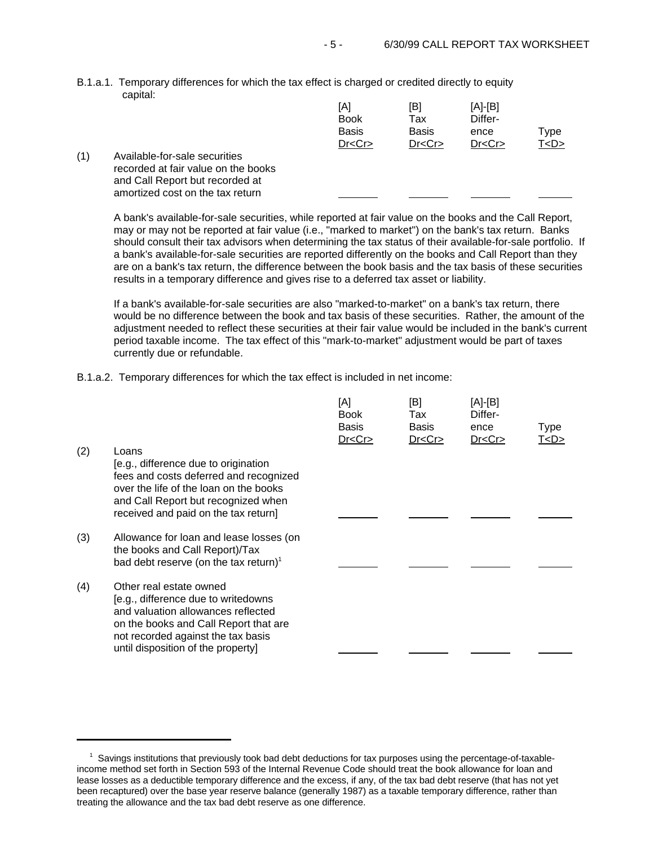B.1.a.1. Temporary differences for which the tax effect is charged or credited directly to equity capital:

|     |                                     | [A]<br><b>Book</b><br><b>Basis</b> | [B]<br>Tax<br><b>Basis</b> | [A]-[B]<br>Differ-<br>ence | Type      |
|-----|-------------------------------------|------------------------------------|----------------------------|----------------------------|-----------|
|     |                                     |                                    |                            |                            |           |
|     |                                     | Dr < Cr                            | Dr < Cr                    | Dr < Cr                    | T <d></d> |
| (1) | Available-for-sale securities       |                                    |                            |                            |           |
|     | recorded at fair value on the books |                                    |                            |                            |           |
|     | and Call Report but recorded at     |                                    |                            |                            |           |
|     | amortized cost on the tax return    |                                    |                            |                            |           |

A bank's available-for-sale securities, while reported at fair value on the books and the Call Report, may or may not be reported at fair value (i.e., "marked to market") on the bank's tax return. Banks should consult their tax advisors when determining the tax status of their available-for-sale portfolio. If a bank's available-for-sale securities are reported differently on the books and Call Report than they are on a bank's tax return, the difference between the book basis and the tax basis of these securities results in a temporary difference and gives rise to a deferred tax asset or liability.

If a bank's available-for-sale securities are also "marked-to-market" on a bank's tax return, there would be no difference between the book and tax basis of these securities. Rather, the amount of the adjustment needed to reflect these securities at their fair value would be included in the bank's current period taxable income. The tax effect of this "mark-to-market" adjustment would be part of taxes currently due or refundable.

B.1.a.2. Temporary differences for which the tax effect is included in net income:

|     |                                                                                                                                                                                                                           | [A]<br><b>Book</b><br><b>Basis</b><br>Dr < Cr | [B]<br>Tax<br><b>Basis</b><br>Dr < Cr | [A]-[B]<br>Differ-<br>ence<br>Dr < Cr | Type<br><u>T<d></d></u> |
|-----|---------------------------------------------------------------------------------------------------------------------------------------------------------------------------------------------------------------------------|-----------------------------------------------|---------------------------------------|---------------------------------------|-------------------------|
| (2) | Loans<br>[e.g., difference due to origination<br>fees and costs deferred and recognized<br>over the life of the loan on the books<br>and Call Report but recognized when<br>received and paid on the tax return]          |                                               |                                       |                                       |                         |
| (3) | Allowance for loan and lease losses (on<br>the books and Call Report)/Tax<br>bad debt reserve (on the tax return) <sup>1</sup>                                                                                            |                                               |                                       |                                       |                         |
| (4) | Other real estate owned<br>[e.g., difference due to writedowns<br>and valuation allowances reflected<br>on the books and Call Report that are<br>not recorded against the tax basis<br>until disposition of the property] |                                               |                                       |                                       |                         |

<sup>1</sup> Savings institutions that previously took bad debt deductions for tax purposes using the percentage-of-taxableincome method set forth in Section 593 of the Internal Revenue Code should treat the book allowance for loan and lease losses as a deductible temporary difference and the excess, if any, of the tax bad debt reserve (that has not yet been recaptured) over the base year reserve balance (generally 1987) as a taxable temporary difference, rather than treating the allowance and the tax bad debt reserve as one difference.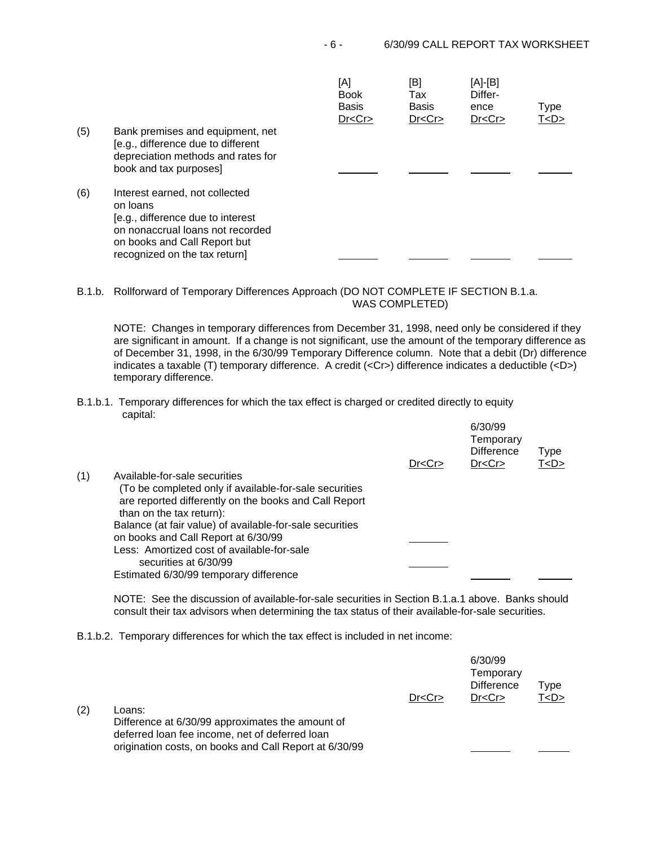| (5) | Bank premises and equipment, net<br>[e.g., difference due to different<br>depreciation methods and rates for<br>book and tax purposes]                                               | [A]<br><b>Book</b><br><b>Basis</b><br>Dr < Cr | [B]<br>Tax<br><b>Basis</b><br>Dr < Cr | $[A]-[B]$<br>Differ-<br>ence<br>Dr < Cr | Type<br><u>T<d></d></u> |
|-----|--------------------------------------------------------------------------------------------------------------------------------------------------------------------------------------|-----------------------------------------------|---------------------------------------|-----------------------------------------|-------------------------|
| (6) | Interest earned, not collected<br>on loans<br>[e.g., difference due to interest<br>on nonaccrual loans not recorded<br>on books and Call Report but<br>recognized on the tax return] |                                               |                                       |                                         |                         |

B.1.b. Rollforward of Temporary Differences Approach (DO NOT COMPLETE IF SECTION B.1.a. WAS COMPLETED)

NOTE: Changes in temporary differences from December 31, 1998, need only be considered if they are significant in amount. If a change is not significant, use the amount of the temporary difference as of December 31, 1998, in the 6/30/99 Temporary Difference column. Note that a debit (Dr) difference indicates a taxable (T) temporary difference. A credit (<Cr>) difference indicates a deductible (<D>) temporary difference.

B.1.b.1. Temporary differences for which the tax effect is charged or credited directly to equity capital:

|     |                                                                                                                                             | Dr < Cr | 6/30/99<br>Temporary<br><b>Difference</b><br>Dr < Cr | Type<br>T < D > |
|-----|---------------------------------------------------------------------------------------------------------------------------------------------|---------|------------------------------------------------------|-----------------|
| (1) | Available-for-sale securities                                                                                                               |         |                                                      |                 |
|     | (To be completed only if available-for-sale securities<br>are reported differently on the books and Call Report<br>than on the tax return): |         |                                                      |                 |
|     | Balance (at fair value) of available-for-sale securities                                                                                    |         |                                                      |                 |
|     | on books and Call Report at 6/30/99                                                                                                         |         |                                                      |                 |
|     | Less: Amortized cost of available-for-sale<br>securities at 6/30/99                                                                         |         |                                                      |                 |
|     | Estimated 6/30/99 temporary difference                                                                                                      |         |                                                      |                 |

NOTE: See the discussion of available-for-sale securities in Section B.1.a.1 above. Banks should consult their tax advisors when determining the tax status of their available-for-sale securities.

B.1.b.2. Temporary differences for which the tax effect is included in net income:

origination costs, on books and Call Report at 6/30/99

 $(2)$ 

|                                                  |         | 6/30/99<br>Temporary<br><b>Difference</b> | Type    |
|--------------------------------------------------|---------|-------------------------------------------|---------|
|                                                  | Dr < Cr | Dr < Cr                                   | T < D > |
| Loans:                                           |         |                                           |         |
| Difference at 6/30/99 approximates the amount of |         |                                           |         |
| deferred loan fee income, net of deferred loan   |         |                                           |         |

l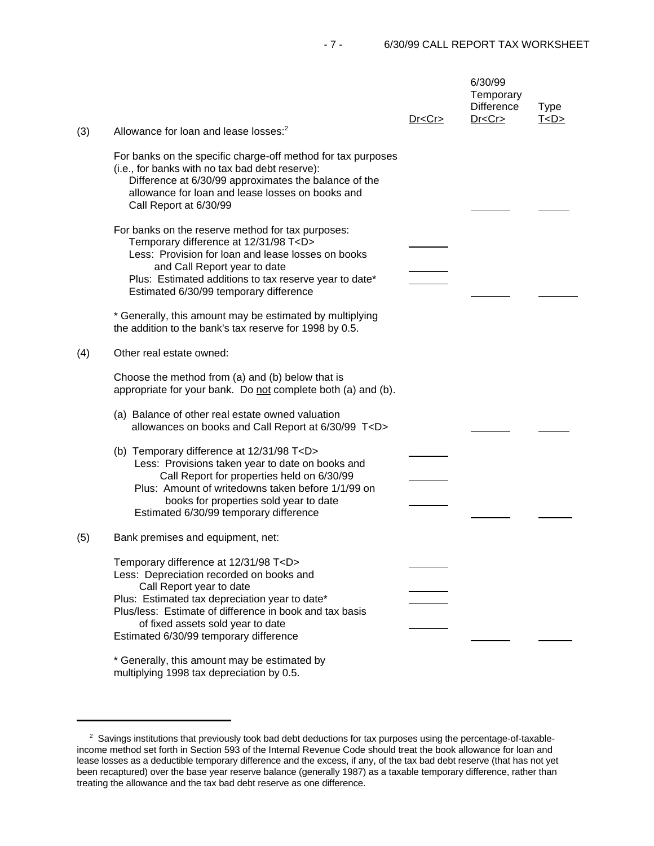- 7 - 6/30/99 CALL REPORT TAX WORKSHEET

|     | Allowance for loan and lease losses: <sup>2</sup>                                                                                                                                                                                                                                                                    | Dr < Cr | 6/30/99<br>Temporary<br>Difference<br>Dr < Cr | <b>Type</b><br>T < D > |
|-----|----------------------------------------------------------------------------------------------------------------------------------------------------------------------------------------------------------------------------------------------------------------------------------------------------------------------|---------|-----------------------------------------------|------------------------|
| (3) | For banks on the specific charge-off method for tax purposes<br>(i.e., for banks with no tax bad debt reserve):<br>Difference at 6/30/99 approximates the balance of the<br>allowance for loan and lease losses on books and<br>Call Report at 6/30/99                                                               |         |                                               |                        |
|     | For banks on the reserve method for tax purposes:<br>Temporary difference at 12/31/98 T <d><br/>Less: Provision for loan and lease losses on books<br/>and Call Report year to date<br/>Plus: Estimated additions to tax reserve year to date*<br/>Estimated 6/30/99 temporary difference</d>                        |         |                                               |                        |
|     | * Generally, this amount may be estimated by multiplying<br>the addition to the bank's tax reserve for 1998 by 0.5.                                                                                                                                                                                                  |         |                                               |                        |
| (4) | Other real estate owned:                                                                                                                                                                                                                                                                                             |         |                                               |                        |
|     | Choose the method from (a) and (b) below that is<br>appropriate for your bank. Do not complete both (a) and (b).                                                                                                                                                                                                     |         |                                               |                        |
|     | (a) Balance of other real estate owned valuation<br>allowances on books and Call Report at 6/30/99 T <d></d>                                                                                                                                                                                                         |         |                                               |                        |
|     | (b) Temporary difference at 12/31/98 T <d><br/>Less: Provisions taken year to date on books and<br/>Call Report for properties held on 6/30/99<br/>Plus: Amount of writedowns taken before 1/1/99 on<br/>books for properties sold year to date<br/>Estimated 6/30/99 temporary difference</d>                       |         |                                               |                        |
| (5) | Bank premises and equipment, net:                                                                                                                                                                                                                                                                                    |         |                                               |                        |
|     | Temporary difference at 12/31/98 T <d><br/>Less: Depreciation recorded on books and<br/>Call Report year to date<br/>Plus: Estimated tax depreciation year to date*<br/>Plus/less: Estimate of difference in book and tax basis<br/>of fixed assets sold year to date<br/>Estimated 6/30/99 temporary difference</d> |         |                                               |                        |
|     | * Generally, this amount may be estimated by                                                                                                                                                                                                                                                                         |         |                                               |                        |

multiplying 1998 tax depreciation by 0.5.

<sup>&</sup>lt;sup>2</sup> Savings institutions that previously took bad debt deductions for tax purposes using the percentage-of-taxableincome method set forth in Section 593 of the Internal Revenue Code should treat the book allowance for loan and lease losses as a deductible temporary difference and the excess, if any, of the tax bad debt reserve (that has not yet been recaptured) over the base year reserve balance (generally 1987) as a taxable temporary difference, rather than treating the allowance and the tax bad debt reserve as one difference.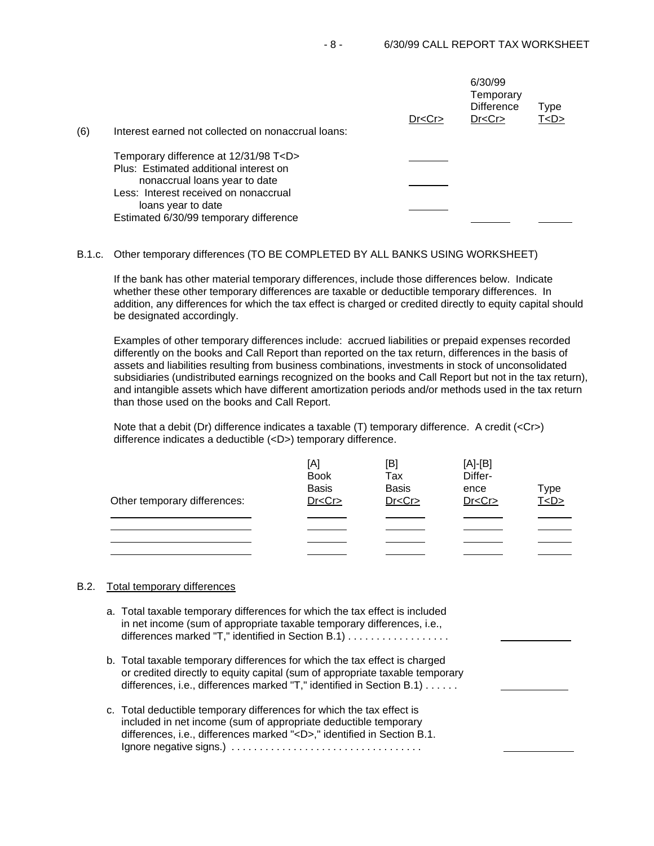L

|     |                                                                                                                         | Dr < Cr | 6/30/99<br>Temporary<br><b>Difference</b><br>Dr < Cr | Type<br><u>T<d></d></u> |
|-----|-------------------------------------------------------------------------------------------------------------------------|---------|------------------------------------------------------|-------------------------|
| (6) | Interest earned not collected on nonaccrual loans:                                                                      |         |                                                      |                         |
|     | Temporary difference at 12/31/98 T <d><br/>Plus: Estimated additional interest on<br/>nonaccrual loans year to date</d> |         |                                                      |                         |
|     | Less: Interest received on nonaccrual<br>loans year to date<br>Estimated 6/30/99 temporary difference                   |         |                                                      |                         |

#### B.1.c. Other temporary differences (TO BE COMPLETED BY ALL BANKS USING WORKSHEET)

If the bank has other material temporary differences, include those differences below. Indicate whether these other temporary differences are taxable or deductible temporary differences. In addition, any differences for which the tax effect is charged or credited directly to equity capital should be designated accordingly.

Examples of other temporary differences include: accrued liabilities or prepaid expenses recorded differently on the books and Call Report than reported on the tax return, differences in the basis of assets and liabilities resulting from business combinations, investments in stock of unconsolidated subsidiaries (undistributed earnings recognized on the books and Call Report but not in the tax return), and intangible assets which have different amortization periods and/or methods used in the tax return than those used on the books and Call Report.

Note that a debit (Dr) difference indicates a taxable (T) temporary difference. A credit (<Cr>) difference indicates a deductible (<D>) temporary difference.

|                              | [A]<br><b>Book</b><br><b>Basis</b> | [B]<br>Tax<br><b>Basis</b> | $[A]-[B]$<br>Differ-<br>ence | Type    |
|------------------------------|------------------------------------|----------------------------|------------------------------|---------|
| Other temporary differences: | Dr < Cr                            | Dr < Cr                    | Dr < Cr                      | T < D > |
|                              |                                    |                            |                              |         |
|                              |                                    |                            |                              |         |
|                              |                                    |                            |                              |         |
|                              |                                    |                            |                              |         |

## B.2. Total temporary differences

L a. Total taxable temporary differences for which the tax effect is included in net income (sum of appropriate taxable temporary differences, i.e., differences marked "T," identified in Section B.1) . . . . . . . . . . . . . . . . . . b. Total taxable temporary differences for which the tax effect is charged or credited directly to equity capital (sum of appropriate taxable temporary

differences, i.e., differences marked "T," identified in Section B.1) . . . . . .

c. Total deductible temporary differences for which the tax effect is included in net income (sum of appropriate deductible temporary differences, i.e., differences marked "<D>," identified in Section B.1. Ignore negative signs.) . . . . . . . . . . . . . . . . . . . . . . . . . . . . . . . . . .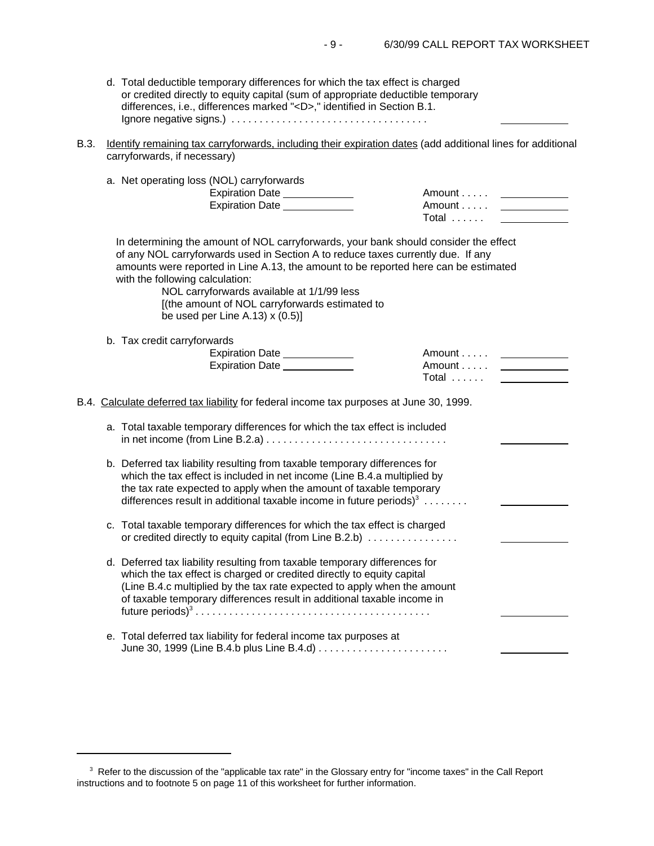$\overline{a}$ 

- d. Total deductible temporary differences for which the tax effect is charged or credited directly to equity capital (sum of appropriate deductible temporary differences, i.e., differences marked "<D>," identified in Section B.1. Ignore negative signs.) . . . . . . . . . . . . . . . . . . . . . . . . . . . . . . . . . . .
- B.3. Identify remaining tax carryforwards, including their expiration dates (add additional lines for additional carryforwards, if necessary)

| a. Net operating loss (NOL) carryforwards<br>Expiration Date _____________<br>Expiration Date _____________                                                                                                                                                                                                                                                                                                                             | Amount<br>Amount<br>Total                 |
|-----------------------------------------------------------------------------------------------------------------------------------------------------------------------------------------------------------------------------------------------------------------------------------------------------------------------------------------------------------------------------------------------------------------------------------------|-------------------------------------------|
| In determining the amount of NOL carryforwards, your bank should consider the effect<br>of any NOL carryforwards used in Section A to reduce taxes currently due. If any<br>amounts were reported in Line A.13, the amount to be reported here can be estimated<br>with the following calculation:<br>NOL carryforwards available at 1/1/99 less<br>[(the amount of NOL carryforwards estimated to<br>be used per Line A.13) $x(0.5)$ ] |                                           |
| b. Tax credit carryforwards<br>Expiration Date<br>Expiration Date _____________                                                                                                                                                                                                                                                                                                                                                         | Amount <u>________</u><br>Amount<br>Total |
| B.4. Calculate deferred tax liability for federal income tax purposes at June 30, 1999.                                                                                                                                                                                                                                                                                                                                                 |                                           |
| a. Total taxable temporary differences for which the tax effect is included                                                                                                                                                                                                                                                                                                                                                             |                                           |
| b. Deferred tax liability resulting from taxable temporary differences for<br>which the tax effect is included in net income (Line B.4.a multiplied by<br>the tax rate expected to apply when the amount of taxable temporary<br>differences result in additional taxable income in future periods) $3 \ldots \ldots$                                                                                                                   |                                           |
| c. Total taxable temporary differences for which the tax effect is charged<br>or credited directly to equity capital (from Line B.2.b)                                                                                                                                                                                                                                                                                                  |                                           |
| d. Deferred tax liability resulting from taxable temporary differences for<br>which the tax effect is charged or credited directly to equity capital<br>(Line B.4.c multiplied by the tax rate expected to apply when the amount<br>of taxable temporary differences result in additional taxable income in                                                                                                                             |                                           |
| e. Total deferred tax liability for federal income tax purposes at                                                                                                                                                                                                                                                                                                                                                                      |                                           |

 $3$  Refer to the discussion of the "applicable tax rate" in the Glossary entry for "income taxes" in the Call Report instructions and to footnote 5 on page 11 of this worksheet for further information.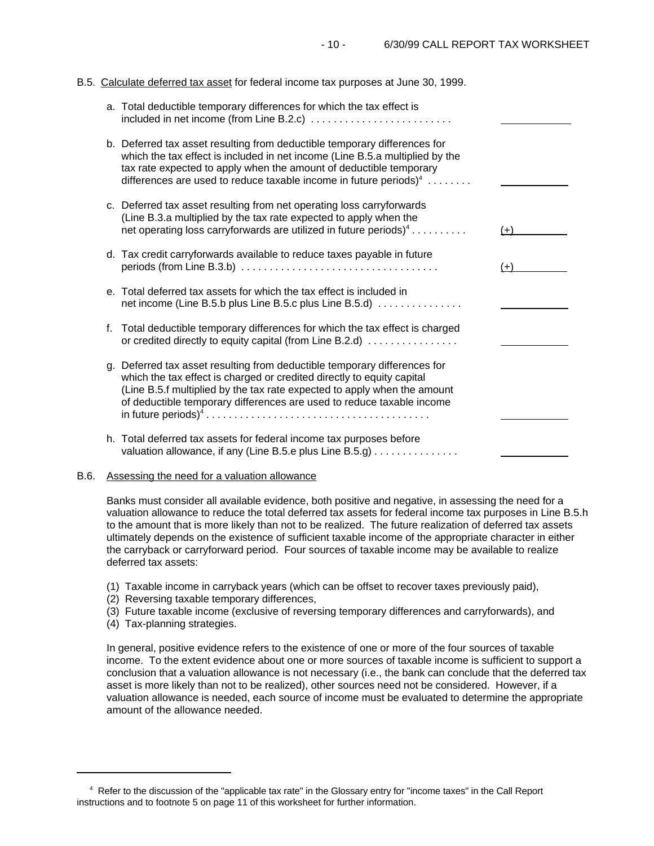### B.5. Calculate deferred tax asset for federal income tax purposes at June 30, 1999.

|    | a. Total deductible temporary differences for which the tax effect is                                                                                                                                                                                                                                            |       |
|----|------------------------------------------------------------------------------------------------------------------------------------------------------------------------------------------------------------------------------------------------------------------------------------------------------------------|-------|
|    | b. Deferred tax asset resulting from deductible temporary differences for<br>which the tax effect is included in net income (Line B.5.a multiplied by the<br>tax rate expected to apply when the amount of deductible temporary<br>differences are used to reduce taxable income in future periods) <sup>4</sup> |       |
|    | c. Deferred tax asset resulting from net operating loss carryforwards<br>(Line B.3.a multiplied by the tax rate expected to apply when the<br>net operating loss carryforwards are utilized in future periods) <sup>4</sup>                                                                                      | $(+)$ |
|    | d. Tax credit carryforwards available to reduce taxes payable in future                                                                                                                                                                                                                                          | $(+)$ |
|    | e. Total deferred tax assets for which the tax effect is included in<br>net income (Line B.5.b plus Line B.5.c plus Line B.5.d)                                                                                                                                                                                  |       |
| f. | Total deductible temporary differences for which the tax effect is charged<br>or credited directly to equity capital (from Line B.2.d)                                                                                                                                                                           |       |
|    | g. Deferred tax asset resulting from deductible temporary differences for<br>which the tax effect is charged or credited directly to equity capital<br>(Line B.5.f multiplied by the tax rate expected to apply when the amount<br>of deductible temporary differences are used to reduce taxable income         |       |
|    | h. Total deferred tax assets for federal income tax purposes before<br>valuation allowance, if any (Line B.5.e plus Line B.5.g)                                                                                                                                                                                  |       |

# B.6. Assessing the need for a valuation allowance

Banks must consider all available evidence, both positive and negative, in assessing the need for a valuation allowance to reduce the total deferred tax assets for federal income tax purposes in Line B.5.h to the amount that is more likely than not to be realized. The future realization of deferred tax assets ultimately depends on the existence of sufficient taxable income of the appropriate character in either the carryback or carryforward period. Four sources of taxable income may be available to realize deferred tax assets:

- (1) Taxable income in carryback years (which can be offset to recover taxes previously paid),
- (2) Reversing taxable temporary differences,
- (3) Future taxable income (exclusive of reversing temporary differences and carryforwards), and
- (4) Tax-planning strategies.

In general, positive evidence refers to the existence of one or more of the four sources of taxable income. To the extent evidence about one or more sources of taxable income is sufficient to support a conclusion that a valuation allowance is not necessary (i.e., the bank can conclude that the deferred tax asset is more likely than not to be realized), other sources need not be considered. However, if a valuation allowance is needed, each source of income must be evaluated to determine the appropriate amount of the allowance needed.

<sup>4</sup> Refer to the discussion of the "applicable tax rate" in the Glossary entry for "income taxes" in the Call Report instructions and to footnote 5 on page 11 of this worksheet for further information.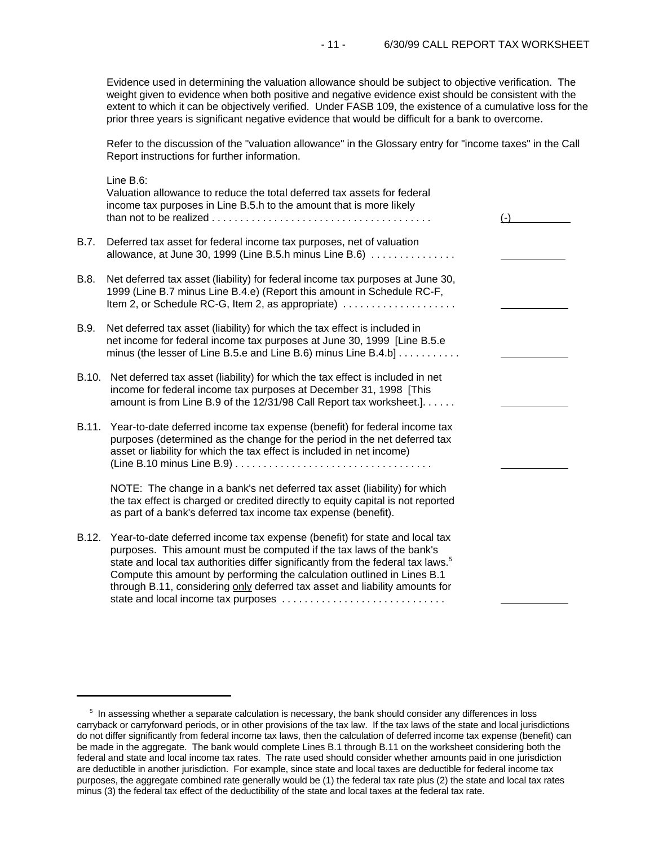Evidence used in determining the valuation allowance should be subject to objective verification. The weight given to evidence when both positive and negative evidence exist should be consistent with the extent to which it can be objectively verified. Under FASB 109, the existence of a cumulative loss for the prior three years is significant negative evidence that would be difficult for a bank to overcome.

Refer to the discussion of the "valuation allowance" in the Glossary entry for "income taxes" in the Call Report instructions for further information.

|       | Line B.6:<br>Valuation allowance to reduce the total deferred tax assets for federal<br>income tax purposes in Line B.5.h to the amount that is more likely                                                                                                                                                                                                                                                                                         | $(-)$ |
|-------|-----------------------------------------------------------------------------------------------------------------------------------------------------------------------------------------------------------------------------------------------------------------------------------------------------------------------------------------------------------------------------------------------------------------------------------------------------|-------|
| B.7.  | Deferred tax asset for federal income tax purposes, net of valuation<br>allowance, at June 30, 1999 (Line B.5.h minus Line B.6)                                                                                                                                                                                                                                                                                                                     |       |
| B.8.  | Net deferred tax asset (liability) for federal income tax purposes at June 30,<br>1999 (Line B.7 minus Line B.4.e) (Report this amount in Schedule RC-F,<br>Item 2, or Schedule RC-G, Item 2, as appropriate)                                                                                                                                                                                                                                       |       |
| B.9.  | Net deferred tax asset (liability) for which the tax effect is included in<br>net income for federal income tax purposes at June 30, 1999 [Line B.5.e<br>minus (the lesser of Line B.5.e and Line B.6) minus Line B.4.b]                                                                                                                                                                                                                            |       |
|       | B.10. Net deferred tax asset (liability) for which the tax effect is included in net<br>income for federal income tax purposes at December 31, 1998 [This<br>amount is from Line B.9 of the 12/31/98 Call Report tax worksheet.].                                                                                                                                                                                                                   |       |
| B.11. | Year-to-date deferred income tax expense (benefit) for federal income tax<br>purposes (determined as the change for the period in the net deferred tax<br>asset or liability for which the tax effect is included in net income)                                                                                                                                                                                                                    |       |
|       | NOTE: The change in a bank's net deferred tax asset (liability) for which<br>the tax effect is charged or credited directly to equity capital is not reported<br>as part of a bank's deferred tax income tax expense (benefit).                                                                                                                                                                                                                     |       |
| B.12. | Year-to-date deferred income tax expense (benefit) for state and local tax<br>purposes. This amount must be computed if the tax laws of the bank's<br>state and local tax authorities differ significantly from the federal tax laws. <sup>5</sup><br>Compute this amount by performing the calculation outlined in Lines B.1<br>through B.11, considering only deferred tax asset and liability amounts for<br>state and local income tax purposes |       |

<sup>&</sup>lt;sup>5</sup> In assessing whether a separate calculation is necessary, the bank should consider any differences in loss carryback or carryforward periods, or in other provisions of the tax law. If the tax laws of the state and local jurisdictions do not differ significantly from federal income tax laws, then the calculation of deferred income tax expense (benefit) can be made in the aggregate. The bank would complete Lines B.1 through B.11 on the worksheet considering both the federal and state and local income tax rates. The rate used should consider whether amounts paid in one jurisdiction are deductible in another jurisdiction. For example, since state and local taxes are deductible for federal income tax purposes, the aggregate combined rate generally would be (1) the federal tax rate plus (2) the state and local tax rates minus (3) the federal tax effect of the deductibility of the state and local taxes at the federal tax rate.